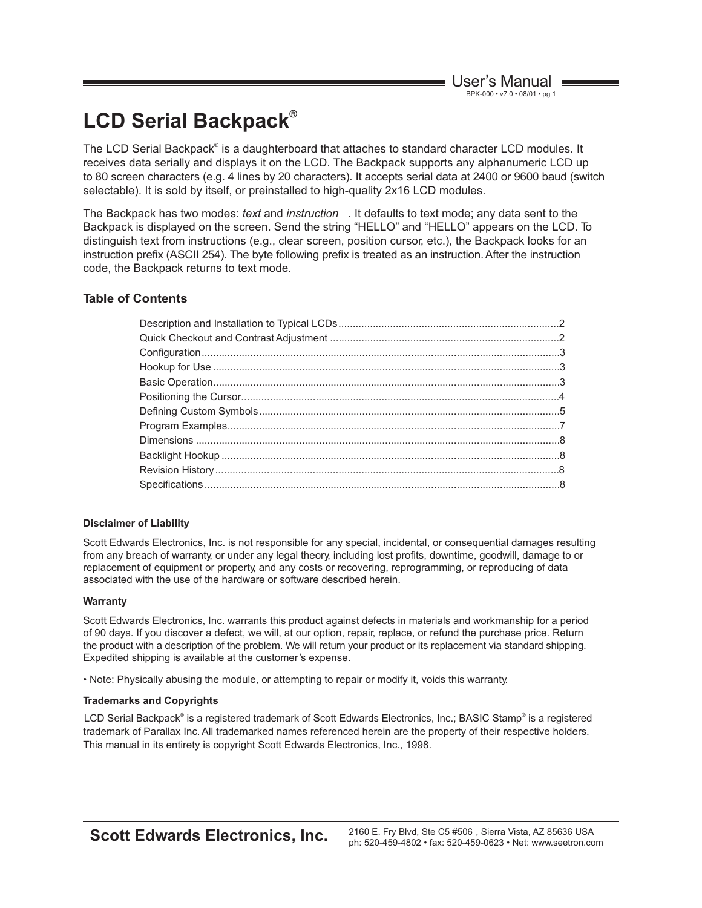# **® LCD Serial Backpack**

The LCD Serial Backpack® is a daughterboard that attaches to standard character LCD modules. It receives data serially and displays it on the LCD. The Backpack supports any alphanumeric LCD up to 80 screen characters (e.g. 4 lines by 20 characters). It accepts serial data at 2400 or 9600 baud (switch selectable). It is sold by itself, or preinstalled to high-quality 2x16 LCD modules.

The Backpack has two modes: *text* and *instruction* . It defaults to text mode; any data sent to the Backpack is displayed on the screen. Send the string "HELLO" and "HELLO" appears on the LCD. To distinguish text from instructions (e.g., clear screen, position cursor, etc.), the Backpack looks for an instruction prefix (ASCII 254). The byte following prefix is treated as an instruction. After the instruction code, the Backpack returns to text mode.

#### **Table of Contents**

#### **Disclaimer of Liability**

Scott Edwards Electronics, Inc. is not responsible for any special, incidental, or consequential damages resulting from any breach of warranty, or under any legal theory, including lost profits, downtime, goodwill, damage to or replacement of equipment or property, and any costs or recovering, reprogramming, or reproducing of data associated with the use of the hardware or software described herein.

#### **Warranty**

Scott Edwards Electronics, Inc. warrants this product against defects in materials and workmanship for a period of 90 days. If you discover a defect, we will, at our option, repair, replace, or refund the purchase price. Return the product with a description of the problem. We will return your product or its replacement via standard shipping. Expedited shipping is available at the customer's expense.

• Note: Physically abusing the module, or attempting to repair or modify it, voids this warranty.

#### **Trademarks and Copyrights**

trademark of Parallax Inc. All trademarked names referenced herein are the property of their respective holders. This manual in its entirety is copyright Scott Edwards Electronics, Inc., 1998. LCD Serial Backpack® is a registered trademark of Scott Edwards Electronics, Inc.; BASIC Stamp® is a registered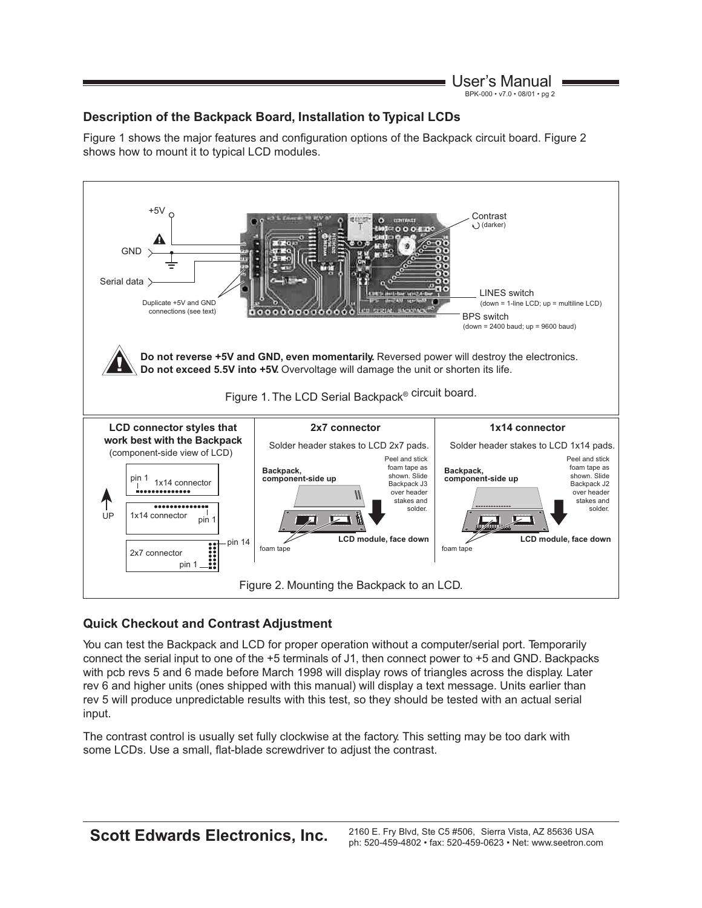#### User's Manual BPK-000 • v7.0 • 08/01 • pg 2

# **Description of the Backpack Board, Installation to Typical LCDs**

Figure 1 shows the major features and configuration options of the Backpack circuit board. Figure 2 shows how to mount it to typical LCD modules.



# **Quick Checkout and Contrast Adjustment**

You can test the Backpack and LCD for proper operation without a computer/serial port. Temporarily connect the serial input to one of the +5 terminals of J1, then connect power to +5 and GND. Backpacks with pcb revs 5 and 6 made before March 1998 will display rows of triangles across the display. Later rev 6 and higher units (ones shipped with this manual) will display a text message. Units earlier than rev 5 will produce unpredictable results with this test, so they should be tested with an actual serial input.

The contrast control is usually set fully clockwise at the factory. This setting may be too dark with some LCDs. Use a small, flat-blade screwdriver to adjust the contrast.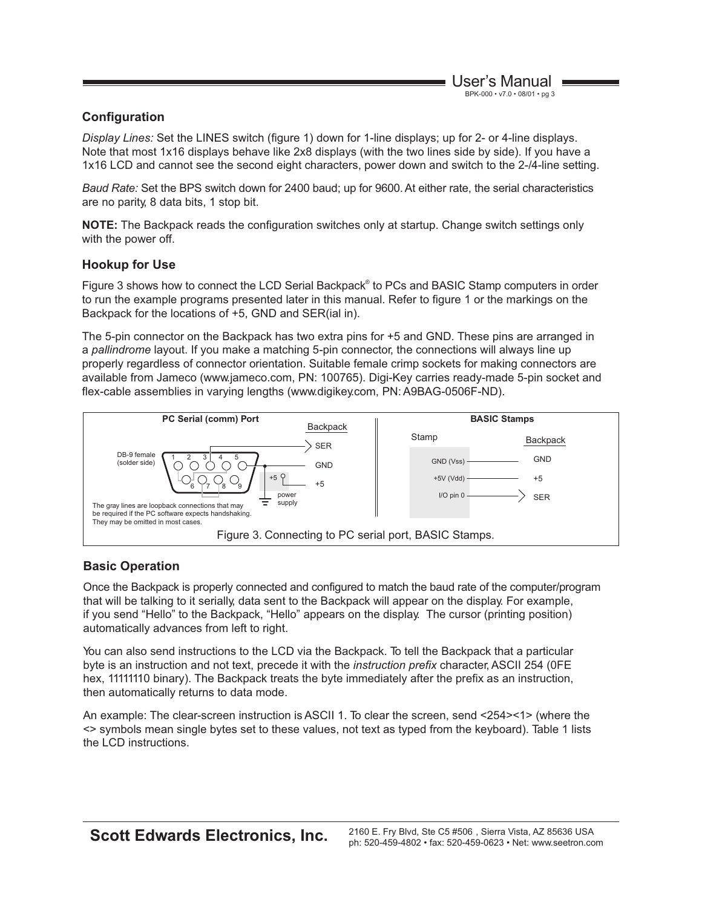# **Configuration**

*Display Lines:* Set the LINES switch (figure 1) down for 1-line displays; up for 2- or 4-line displays. Note that most 1x16 displays behave like 2x8 displays (with the two lines side by side). If you have a 1x16 LCD and cannot see the second eight characters, power down and switch to the 2-/4-line setting.

*Baud Rate:* Set the BPS switch down for 2400 baud; up for 9600. At either rate, the serial characteristics are no parity, 8 data bits, 1 stop bit.

**NOTE:** The Backpack reads the configuration switches only at startup. Change switch settings only with the power off.

# **Hookup for Use**

Figure 3 shows how to connect the LCD Serial Backpack® to PCs and BASIC Stamp computers in order to run the example programs presented later in this manual. Refer to figure 1 or the markings on the Backpack for the locations of +5, GND and SER(ial in).

The 5-pin connector on the Backpack has two extra pins for +5 and GND. These pins are arranged in a *pallindrome* layout. If you make a matching 5-pin connector, the connections will always line up properly regardless of connector orientation. Suitable female crimp sockets for making connectors are available from Jameco (www.jameco.com, PN: 100765). Digi-Key carries ready-made 5-pin socket and flex-cable assemblies in varying lengths (www.digikey.com, PN: A9BAG-0506F-ND).



# **Basic Operation**

Once the Backpack is properly connected and configured to match the baud rate of the computer/program that will be talking to it serially, data sent to the Backpack will appear on the display. For example, if you send "Hello" to the Backpack, "Hello" appears on the display. The cursor (printing position) automatically advances from left to right.

You can also send instructions to the LCD via the Backpack. To tell the Backpack that a particular byte is an instruction and not text, precede it with the *instruction prefix* character, ASCII 254 (0FE hex, 11111110 binary). The Backpack treats the byte immediately after the prefix as an instruction, then automatically returns to data mode.

An example: The clear-screen instruction is ASCII 1. To clear the screen, send <254><1> (where the <> symbols mean single bytes set to these values, not text as typed from the keyboard). Table 1 lists the LCD instructions.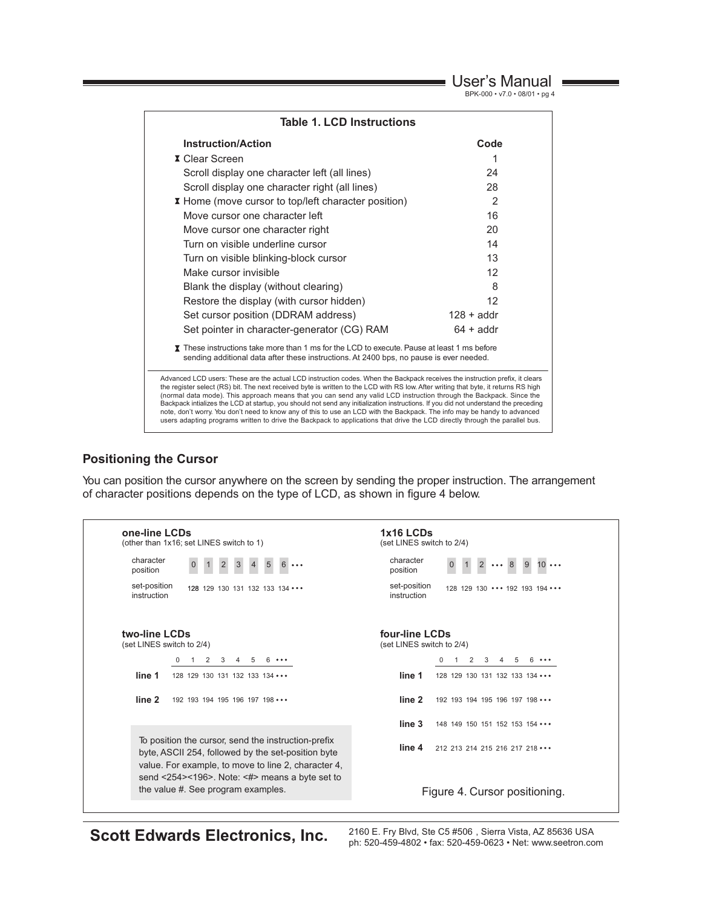User's Manual

BPK-000 • v7.0 • 08/01 • pg 4

| <b>Table 1. LCD Instructions</b>                                                                                                                                                                                                                                                                                                                                                                                                                                                                                                                                                                                                                                                                                                                                                              |                    |  |  |  |  |  |
|-----------------------------------------------------------------------------------------------------------------------------------------------------------------------------------------------------------------------------------------------------------------------------------------------------------------------------------------------------------------------------------------------------------------------------------------------------------------------------------------------------------------------------------------------------------------------------------------------------------------------------------------------------------------------------------------------------------------------------------------------------------------------------------------------|--------------------|--|--|--|--|--|
| <b>Instruction/Action</b>                                                                                                                                                                                                                                                                                                                                                                                                                                                                                                                                                                                                                                                                                                                                                                     | Code               |  |  |  |  |  |
| <b>X</b> Clear Screen                                                                                                                                                                                                                                                                                                                                                                                                                                                                                                                                                                                                                                                                                                                                                                         | 1                  |  |  |  |  |  |
| Scroll display one character left (all lines)                                                                                                                                                                                                                                                                                                                                                                                                                                                                                                                                                                                                                                                                                                                                                 | 24                 |  |  |  |  |  |
| Scroll display one character right (all lines)                                                                                                                                                                                                                                                                                                                                                                                                                                                                                                                                                                                                                                                                                                                                                | 28                 |  |  |  |  |  |
| I Home (move cursor to top/left character position)                                                                                                                                                                                                                                                                                                                                                                                                                                                                                                                                                                                                                                                                                                                                           | $\mathcal{P}$      |  |  |  |  |  |
| Move cursor one character left                                                                                                                                                                                                                                                                                                                                                                                                                                                                                                                                                                                                                                                                                                                                                                | 16                 |  |  |  |  |  |
| Move cursor one character right                                                                                                                                                                                                                                                                                                                                                                                                                                                                                                                                                                                                                                                                                                                                                               | 20                 |  |  |  |  |  |
| 14<br>Turn on visible underline cursor                                                                                                                                                                                                                                                                                                                                                                                                                                                                                                                                                                                                                                                                                                                                                        |                    |  |  |  |  |  |
| 13<br>Turn on visible blinking-block cursor                                                                                                                                                                                                                                                                                                                                                                                                                                                                                                                                                                                                                                                                                                                                                   |                    |  |  |  |  |  |
| 12<br>Make cursor invisible                                                                                                                                                                                                                                                                                                                                                                                                                                                                                                                                                                                                                                                                                                                                                                   |                    |  |  |  |  |  |
| Blank the display (without clearing)<br>8                                                                                                                                                                                                                                                                                                                                                                                                                                                                                                                                                                                                                                                                                                                                                     |                    |  |  |  |  |  |
| Restore the display (with cursor hidden)                                                                                                                                                                                                                                                                                                                                                                                                                                                                                                                                                                                                                                                                                                                                                      | 12                 |  |  |  |  |  |
| Set cursor position (DDRAM address)<br>$128 + \text{addr}$                                                                                                                                                                                                                                                                                                                                                                                                                                                                                                                                                                                                                                                                                                                                    |                    |  |  |  |  |  |
| Set pointer in character-generator (CG) RAM                                                                                                                                                                                                                                                                                                                                                                                                                                                                                                                                                                                                                                                                                                                                                   | $64 + \text{addr}$ |  |  |  |  |  |
| T These instructions take more than 1 ms for the LCD to execute. Pause at least 1 ms before<br>sending additional data after these instructions. At 2400 bps, no pause is ever needed.                                                                                                                                                                                                                                                                                                                                                                                                                                                                                                                                                                                                        |                    |  |  |  |  |  |
| Advanced LCD users: These are the actual LCD instruction codes. When the Backpack receives the instruction prefix, it clears<br>the register select (RS) bit. The next received byte is written to the LCD with RS low. After writing that byte, it returns RS high<br>(normal data mode). This approach means that you can send any valid LCD instruction through the Backpack. Since the<br>Backpack intializes the LCD at startup, you should not send any initialization instructions. If you did not understand the preceding<br>note, don't worry. You don't need to know any of this to use an LCD with the Backpack. The info may be handy to advanced<br>users adapting programs written to drive the Backpack to applications that drive the LCD directly through the parallel bus. |                    |  |  |  |  |  |

#### **Positioning the Cursor**

You can position the cursor anywhere on the screen by sending the proper instruction. The arrangement of character positions depends on the type of LCD, as shown in figure 4 below.

| one-line LCDs                                                                                                                                                                                                            | 1x16 LCDs                                        |  |  |  |  |
|--------------------------------------------------------------------------------------------------------------------------------------------------------------------------------------------------------------------------|--------------------------------------------------|--|--|--|--|
| (other than 1x16; set LINES switch to 1)                                                                                                                                                                                 | (set LINES switch to 2/4)                        |  |  |  |  |
| character<br>position                                                                                                                                                                                                    | character<br>$\bullet\bullet\bullet$<br>position |  |  |  |  |
| set-position                                                                                                                                                                                                             | set-position                                     |  |  |  |  |
| 128 129 130 131 132 133 134 •••                                                                                                                                                                                          | 128 129 130 ••• 192 193 194 •••                  |  |  |  |  |
| instruction                                                                                                                                                                                                              | instruction                                      |  |  |  |  |
| two-line LCDs                                                                                                                                                                                                            | four-line LCDs                                   |  |  |  |  |
| (set LINES switch to 2/4)                                                                                                                                                                                                | (set LINES switch to 2/4)                        |  |  |  |  |
| 3<br>$\Omega$<br>$\overline{2}$<br>4                                                                                                                                                                                     | $\Omega$<br>$\overline{2}$<br>3                  |  |  |  |  |
| line 1                                                                                                                                                                                                                   | line 1                                           |  |  |  |  |
| 128 129 130 131 132 133 134 •••                                                                                                                                                                                          | 128 129 130 131 132 133 134 •••                  |  |  |  |  |
| line 2                                                                                                                                                                                                                   | line 2                                           |  |  |  |  |
| 192 193 194 195 196 197 198 •••                                                                                                                                                                                          | 192 193 194 195 196 197 198 •••                  |  |  |  |  |
|                                                                                                                                                                                                                          | line 3<br>148 149 150 151 152 153 154 •••        |  |  |  |  |
| To position the cursor, send the instruction-prefix<br>byte, ASCII 254, followed by the set-position byte<br>value. For example, to move to line 2, character 4,<br>send <254><196>. Note: $\lt\#$ > means a byte set to | line 4<br>212 213 214 215 216 217 218 •••        |  |  |  |  |
| the value #. See program examples.                                                                                                                                                                                       | Figure 4. Cursor positioning.                    |  |  |  |  |

**Scott Edwards Electronics, Inc.** 2160 E. Fry Blvd, Ste C5 #506, Sierra Vista, AZ 85636 USA<br>ph: 520-459-4802 · fax: 520-459-0623 · Net: www.seetron.com ph: 520-459-4802 • fax: 520-459-0623 • Net: www.seetron.com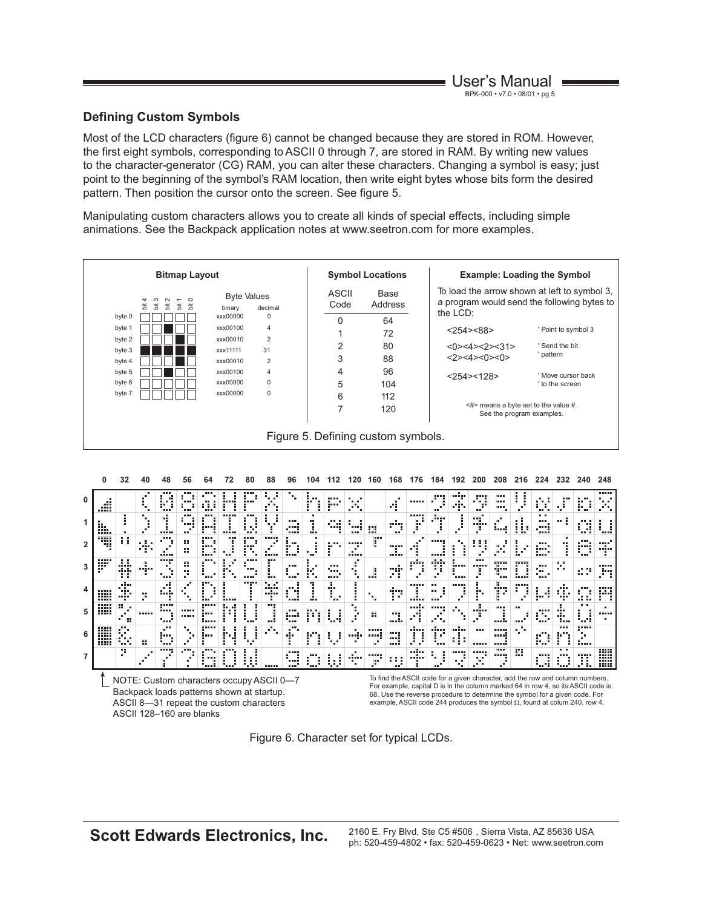# **Defining Custom Symbols**

Most of the LCD characters (figure 6) cannot be changed because they are stored in ROM. However, the first eight symbols, corresponding to ASCII 0 through 7, are stored in RAM. By writing new values to the character-generator (CG) RAM, you can alter these characters. Changing a symbol is easy; just point to the beginning of the symbol's RAM location, then write eight bytes whose bits form the desired pattern. Then position the cursor onto the screen. See figure 5.

Manipulating custom characters allows you to create all kinds of special effects, including simple animations. See the Backpack application notes at www.seetron.com for more examples.



|   | <b>A10</b><br><br>----<br>                                                                                                                                                                                                         |                                            |              |                      |                |               |      | m               |                    | ---<br>----<br>  | m              | . .<br>--<br> | <br><b>HER</b> | ---<br>. .<br>m     | -----<br>m.                    |                  |                                                    |                 | -----                       |                         | .<br>. .  | <br><br>. .<br>         |                    | $\blacksquare$<br>. .<br>жr |
|---|------------------------------------------------------------------------------------------------------------------------------------------------------------------------------------------------------------------------------------|--------------------------------------------|--------------|----------------------|----------------|---------------|------|-----------------|--------------------|------------------|----------------|---------------|----------------|---------------------|--------------------------------|------------------|----------------------------------------------------|-----------------|-----------------------------|-------------------------|-----------|-------------------------|--------------------|-----------------------------|
|   | -----<br><br>m<br>                                                                                                                                                                                                                 | . .<br>. .                                 | .<br>an an a | <br>                 | <br><br>       | ----<br><br>  | <br> | ----<br>        | -----<br>          | . .<br>          |                | .<br>۰.<br>   | <br>           | ---                 | -----<br>                      |                  |                                                    |                 | .<br>.                      | ٠                       | m         | <br>----<br><b>Band</b> |                    | <br>imi<br>`uuni            |
|   | <br>----<br><br>                                                                                                                                                                                                                   | . .<br>. .<br><br>$\cdots$<br><br><b>H</b> |              | -----<br><b>THE</b>  | <br><br>۰      | <br>m         |      | <br><br>        | <br>               | <br><b>THE</b>   | <br>. .<br>. . | <br><br>      | ٠<br>۰.        | mi                  | -----<br><br><b>ATE</b><br>. . |                  | . .<br><br>٠                                       | -----<br>----   | <br>-----<br>$\blacksquare$ | -----<br><br>           | <br>      | <br><br>                | . .<br>- 11<br>. . | . .<br>in a'                |
|   | <br><br><br>                                                                                                                                                                                                                       | <br><br>----                               |              | <br>. .<br>          |                | .<br>         |      | -----           | . .<br>. .<br><br> | <br>----         | ╍<br>m         | <br>          |                | ٠<br>٠<br>۰.        | <br>. .<br>÷.                  | ,,,,,<br>        | <br><br>                                           | -----           | <br>. .                     | <br>٠<br>. .            |           | <br>.                   | .<br>              | <br>$\blacksquare$<br>ni in |
| 5 | -----<br><br>-----<br>                                                                                                                                                                                                             | <br>m<br>ж.                                |              | -----<br><br>        | -----<br>----- | -----<br><br> |      |                 | <br>               | <br><br>         | $\mathbf{r}$   |               | п.<br>٠        | <br>                | <br>                           | -----<br><br>. . | -----<br>$\blacksquare$<br>a Tar<br>$\blacksquare$ | ٠<br>. .        | <br>٠                       | <b>BRK</b><br>          | <br>      | ----<br>                | <br><br>----       | . .<br>                     |
| 6 | <br><br><br><br><br>-----<br>                                                                                                                                                                                                      | <br>.<br>. .<br>                           | <br>         | <br><br>ш<br>. .<br> |                | <br>          | <br> |                 | ٠<br>. .<br>īп.    | <br>. .<br>      | <br><br>٠      | ٠             | -----          | -----<br>-----<br>ш | ----<br><br>                   |                  | <br>                                               | -----<br>.<br>. | <br>-----                   | -----<br>-----<br>----- |           | <br>.                   |                    |                             |
|   |                                                                                                                                                                                                                                    |                                            |              |                      |                |               |      | . .<br>. .<br>. |                    | ----<br>----<br> |                |               | ٠<br>          | -----<br>           | .<br>.<br>                     | ,,,,,<br>        |                                                    | -----           | -----<br>. .                | <br>-----               | <br>m<br> | <br>                    | . .                | ,,,,,<br>. .                |
|   | To find the ASCII code for a given character, add the row and column nun<br>$MQTT$ , $C1$ , $C2$ , $C3$ , $C4$ , $C5$ , $C6$ , $C7$ , $C8$ , $C9$ , $C1$ , $C1$ , $C1$ , $C1$ , $C1$ , $C1$ , $C1$ , $C1$ , $C1$<br>$\overline{ }$ |                                            |              |                      |                |               |      |                 |                    |                  |                |               |                |                     |                                |                  |                                                    |                 |                             |                         |           |                         |                    |                             |

NOTE: Custom characters occupy ASCII 0—7 Backpack loads patterns shown at startup. ASCII 8—31 repeat the custom characters ASCII 128–160 are blanks

To find the ASCII code for a given character, add the row and column numbers. For example, capital D is in the column marked 64 in row 4, so its ASCII code is 68. Use the reverse procedure to determine the symbol for a given code. For example, ASCII code 244 produces the symbol  $\Omega$ , found at colum 240, row 4.

3ÿ pą ....

W

Figure 6. Character set for typical LCDs.

**Scott Edwards Electronics, Inc.** 2160 E. Fry Blvd, Ste C5 #506, Sierra Vista, AZ 85636 USA ph: 520-459-4802 • fax: 520-459-0623 • Net: www.seetron.com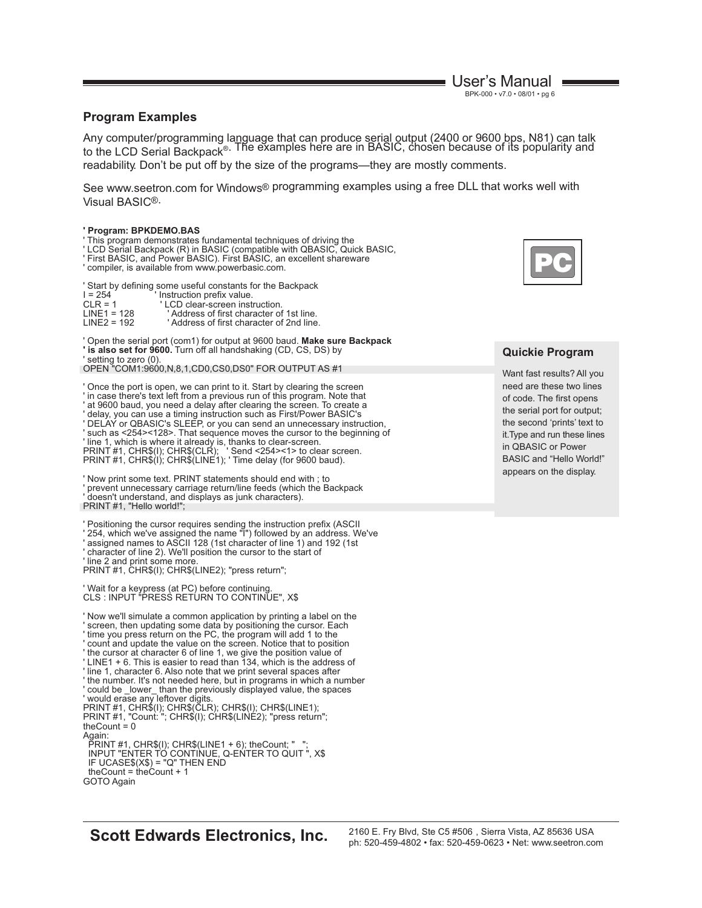User's Manual BPK-000 • v7.0 • 08/01 • pg 6

#### **Program Examples**

Any computer/programming language that can produce serial output (2400 or 9600 bps, N81) can talk<br>to the LCD Serial Backpack®. The examples here are in BASIC, chosen because of its popularity and readability. Don't be put off by the size of the programs—they are mostly comments.

See www.seetron.com for Windows® programming examples using a free DLL that works well with Visual BASIC®.

#### **' Program: BPKDEMO.BAS**

' This program demonstrates fundamental techniques of driving the

- 
- ' LCD Serial Backpack (R) in BASIC (compatible with QBASIC, Quick BASIC, ' First BASIC, and Power BASIC). First BASIC, an excellent shareware
- ' compiler, is available from www.powerbasic.com.

' Start by defining some useful constants for the Backpack

| $I = 254$     | ' Instruction prefix value.              |
|---------------|------------------------------------------|
| $CI R = 1$    | 'LCD clear-screen instruction.           |
| $LINE1 = 128$ | 'Address of first character of 1st line. |
| $LINE2 = 192$ | 'Address of first character of 2nd line. |
|               |                                          |

' Open the serial port (com1) for output at 9600 baud. **Make sure Backpack**

**' is also set for 9600.** Turn off all handshaking (CD, CS, DS) by

' setting to zero (0). OPEN "COM1:9600,N,8,1,CD0,CS0,DS0" FOR OUTPUT AS #1

' Once the port is open, we can print to it. Start by clearing the screen ' in case there's text left from a previous run of this program. Note that

' at 9600 baud, you need a delay after clearing the screen. To create a

' delay, you can use a timing instruction such as First/Power BASIC's ' DELAY or QBASIC's SLEEP, or you can send an unnecessary instruction, ' such as <254><128>. That sequence moves the cursor to the beginning of ' line 1, which is where it already is, thanks to clear-screen. PRINT #1, CHR\$(I); CHR\$(CLR); ' Send <254><1> to clear screen. PRINT #1, CHR\$(I); CHR\$(LINE1); ' Time delay (for 9600 baud).

' Now print some text. PRINT statements should end with ; to prevent unnecessary carriage return/line feeds (which the Backpack ' doesn't understand, and displays as junk characters). PRINT #1, "Hello world!";

' Positioning the cursor requires sending the instruction prefix (ASCII

- ' 254, which we've assigned the name "I") followed by an address. We've ' assigned names to ASCII 128 (1st character of line 1) and 192 (1st
- ' character of line 2). We'll position the cursor to the start of ' line 2 and print some more.

PRINT #1, CHR\$(I); CHR\$(LINE2); "press return";

' Wait for a keypress (at PC) before continuing.<br>CLS : INPUT "PRESS RETURN TO CONTINUE", X\$

- ' Now we'll simulate a common application by printing a label on the
- ' screen, then updating some data by positioning the cursor. Each
- time you press return on the PC, the program will add 1 to the
- count and update the value on the screen. Notice that to position
- ' the cursor at character 6 of line 1, we give the position value of
- ' LINE1 + 6. This is easier to read than 134, which is the address of
- ' line 1, character 6. Also note that we print several spaces after
- ' the number. It's not needed here, but in programs in which a number ' could be \_lower\_ than the previously displayed value, the spaces

' would erase any leftover digits. PRINT #1, CHR\$(I); CHR\$(CLR); CHR\$(I); CHR\$(LINE1); PRINT #1, "Count: "; CHR\$(I); CHR\$(LINE2); "press return"; theCount  $= 0$ 

Again:

 PRINT #1, CHR\$(I); CHR\$(LINE1 + 6); theCount; " "; INPUT "ENTER TO CONTINUE, Q-ENTER TO QUIT ", X\$ IF UCASE\$(X\$) = "Q" THEN END theCount = theCount + 1 GOTO Again



#### **Quickie Program**

Want fast results? All you need are these two lines of code. The first opens the serial port for output; the second 'prints' text to it.Type and run these lines in QBASIC or Power BASIC and "Hello World!" appears on the display.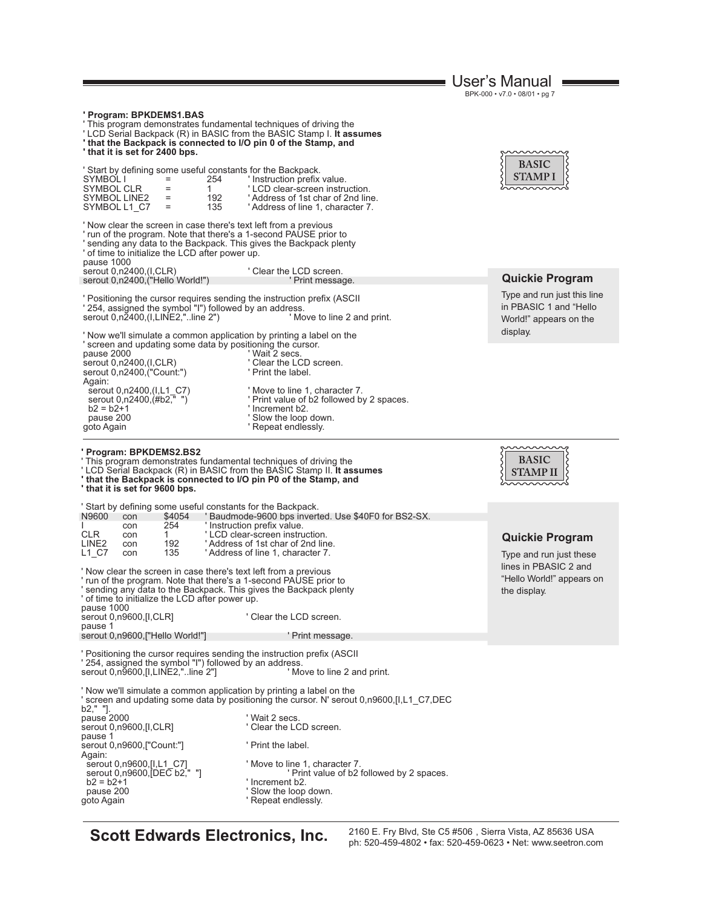|                                                                                                                                                                                                                                                                                                                                                                                                                                                                                                                                 |                                                                                                                                                                                                                                              | User's Manual                                                                                                           |  |
|---------------------------------------------------------------------------------------------------------------------------------------------------------------------------------------------------------------------------------------------------------------------------------------------------------------------------------------------------------------------------------------------------------------------------------------------------------------------------------------------------------------------------------|----------------------------------------------------------------------------------------------------------------------------------------------------------------------------------------------------------------------------------------------|-------------------------------------------------------------------------------------------------------------------------|--|
|                                                                                                                                                                                                                                                                                                                                                                                                                                                                                                                                 |                                                                                                                                                                                                                                              | BPK-000 · v7.0 · 08/01 · pg 7                                                                                           |  |
| ' Program: BPKDEMS1.BAS<br>'This program demonstrates fundamental techniques of driving the<br>'LCD Serial Backpack (R) in BASIC from the BASIC Stamp I. It assumes<br>'that the Backpack is connected to I/O pin 0 of the Stamp, and<br>' that it is set for 2400 bps.                                                                                                                                                                                                                                                         |                                                                                                                                                                                                                                              |                                                                                                                         |  |
| ' Start by defining some useful constants for the Backpack.<br>254<br>SYMBOL I<br>SYMBOL CLR<br>$=$<br>1.<br>192<br>SYMBOL LINE2<br>$\quad =$<br>135<br>$=$<br>SYMBOL L1 C7                                                                                                                                                                                                                                                                                                                                                     | ' Instruction prefix value.<br>'LCD clear-screen instruction.<br>'Address of 1st char of 2nd line.<br>'Address of line 1, character 7.                                                                                                       | <b>BASIC</b><br>STAMP I                                                                                                 |  |
| ' Now clear the screen in case there's text left from a previous<br>' run of the program. Note that there's a 1-second PAUSE prior to<br>sending any data to the Backpack. This gives the Backpack plenty<br>' of time to initialize the LCD after power up.<br>pause 1000                                                                                                                                                                                                                                                      |                                                                                                                                                                                                                                              |                                                                                                                         |  |
| serout 0,n2400,(I,CLR)<br>serout 0,n2400, ("Hello World!")                                                                                                                                                                                                                                                                                                                                                                                                                                                                      | ' Clear the LCD screen.<br>' Print message.                                                                                                                                                                                                  | <b>Quickie Program</b>                                                                                                  |  |
| ' Positioning the cursor requires sending the instruction prefix (ASCII<br>' 254, assigned the symbol "I") followed by an address.<br>serout 0,n2400,(I,LINE2,"line 2")                                                                                                                                                                                                                                                                                                                                                         | ' Move to line 2 and print.                                                                                                                                                                                                                  | Type and run just this line<br>in PBASIC 1 and "Hello<br>World!" appears on the<br>display.                             |  |
| ' Now we'll simulate a common application by printing a label on the<br>' screen and updating some data by positioning the cursor.<br>pause 2000<br>serout 0,n2400,(I,CLR)<br>serout 0,n2400, ("Count:")<br>Again:                                                                                                                                                                                                                                                                                                              | ' Wait 2 secs.<br>' Clear the LCD screen.<br>' Print the label.                                                                                                                                                                              |                                                                                                                         |  |
| serout 0,n2400,(I,L1_C7)<br>serout 0,n2400, (#b2," ")<br>$b2 = b2 + 1$<br>pause 200<br>goto Again                                                                                                                                                                                                                                                                                                                                                                                                                               | ' Move to line 1, character 7.<br>' Print value of b2 followed by 2 spaces.<br>' Increment b2.<br>' Slow the loop down.<br>' Repeat endlessly.                                                                                               |                                                                                                                         |  |
| <b>Program: BPKDEMS2.BS2</b><br>This program demonstrates fundamental techniques of driving the<br>'LCD Serial Backpack (R) in BASIC from the BASIC Stamp II. It assumes<br>' that the Backpack is connected to I/O pin P0 of the Stamp, and<br>' that it is set for 9600 bps.                                                                                                                                                                                                                                                  |                                                                                                                                                                                                                                              | <b>BASIC</b><br>STAMP II                                                                                                |  |
| Start by defining some useful constants for the Backpack.<br>N9600<br>\$4054<br>con<br>254<br>con<br>CLR<br>1.<br>con<br>LINE <sub>2</sub><br>192<br>con<br>135<br>L1 C7<br>con<br>Now clear the screen in case there's text left from a previous<br>run of the program. Note that there's a 1-second PAUSE prior to<br>sending any data to the Backpack. This gives the Backpack plenty<br>of time to initialize the LCD after power up.<br>pause 1000<br>serout 0.n9600.[I,CLR]<br>pause 1<br>serout 0,n9600,["Hello World!"] | 'Baudmode-9600 bps inverted. Use \$40F0 for BS2-SX.<br>' Instruction prefix value.<br>'LCD clear-screen instruction.<br>'Address of 1st char of 2nd line.<br>'Address of line 1, character 7.<br>' Clear the LCD screen.<br>' Print message. | <b>Quickie Program</b><br>Type and run just these<br>lines in PBASIC 2 and<br>"Hello World!" appears on<br>the display. |  |
| ' Positioning the cursor requires sending the instruction prefix (ASCII<br>' 254, assigned the symbol "I") followed by an address.<br>serout 0,n9600, [I, LINE2,"line 2"]                                                                                                                                                                                                                                                                                                                                                       | ' Move to line 2 and print.                                                                                                                                                                                                                  |                                                                                                                         |  |
| ' Now we'll simulate a common application by printing a label on the<br>b2," "].                                                                                                                                                                                                                                                                                                                                                                                                                                                | ' screen and updating some data by positioning the cursor. N' serout 0,n9600, [I, L1 C7, DEC                                                                                                                                                 |                                                                                                                         |  |
| pause 2000<br>serout 0,n9600,[I,CLR]                                                                                                                                                                                                                                                                                                                                                                                                                                                                                            | ' Wait 2 secs.<br>' Clear the LCD screen.                                                                                                                                                                                                    |                                                                                                                         |  |
| pause 1<br>serout 0,n9600,["Count:"]                                                                                                                                                                                                                                                                                                                                                                                                                                                                                            | ' Print the label.                                                                                                                                                                                                                           |                                                                                                                         |  |
| Again:<br>serout 0,n9600, [I, L1 C7]<br>serout 0,n9600, [DEC b2," "]<br>$b2 = b2 + 1$<br>pause 200<br>goto Again                                                                                                                                                                                                                                                                                                                                                                                                                | ' Move to line 1, character 7.<br>Print value of b2 followed by 2 spaces.<br>' Increment b2.<br>' Slow the loop down.<br>' Repeat endlessly.                                                                                                 |                                                                                                                         |  |

**Scott Edwards Electronics, Inc.** 2160 E. Fry Blvd, Ste C5 #506, Sierra Vista, AZ 85636 USA<br>ph: 520-459-4802 • fax: 520-459-0623 • Net: www.seetron.com ph: 520-459-4802 • fax: 520-459-0623 • Net: www.seetron.com